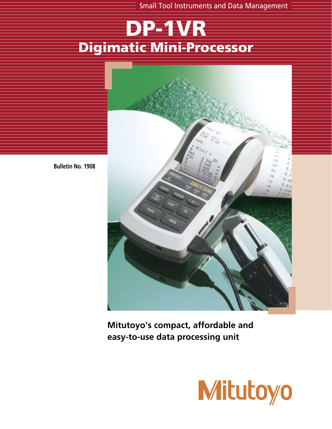Small Tool Instruments and Data Management

# DP-1VR Digimatic Mini-Processor



**Bulletin No. 1908**

**Mitutoyo's compact, affordable and easy-to-use data processing unit**

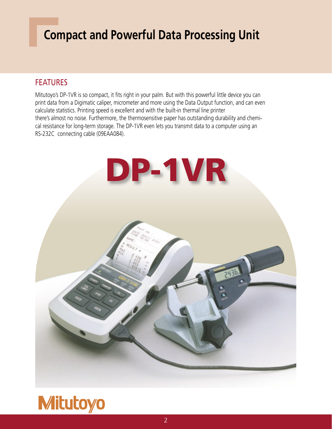## **Compact and Powerful Data Processing Unit**

#### FEATURES

Mitutoyo's DP-1VR is so compact, it fits right in your palm. But with this powerful little device you can print data from a Digimatic caliper, micrometer and more using the Data Output function, and can even calculate statistics. Printing speed is excellent and with the built-in thermal line printer there's almost no noise. Furthermore, the thermosensitive paper has outstanding durability and chemical resistance for long-term storage. The DP-1VR even lets you transmit data to a computer using an RS-232C connecting cable (09EAA084).



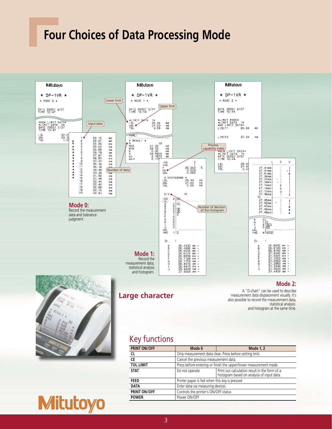## **Four Choices of Data Processing Mode**



| <b>PRINT ON/OFF</b> | Mode 0                                                            | <b>Mode 1, 2</b>                                                                            |
|---------------------|-------------------------------------------------------------------|---------------------------------------------------------------------------------------------|
| <b>CL</b>           | Only measurement data clear. Press before setting limit.          |                                                                                             |
| <b>CE</b>           | Cancel the previous measurement data.                             |                                                                                             |
| <b>TOL.LIMIT</b>    | Press before entering or finish the upper/lower measurement made. |                                                                                             |
| <b>STAT</b>         | Do not operate                                                    | Print out calculation result in the form of a<br>histogram based on analysis of input data. |
| <b>FEED</b>         | Printer paper is fed when this key is pressed                     |                                                                                             |
| <b>DATA</b>         | Enter data via measuring devices                                  |                                                                                             |
| <b>PRINT ON/OFF</b> | Controls the printer's ON/OFF status                              |                                                                                             |
| <b>POWER</b>        | Power ON/OFF                                                      |                                                                                             |

**Mitutoyo**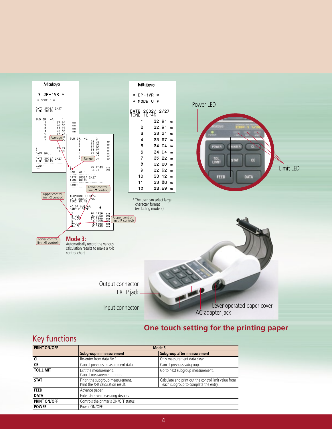

#### **One touch setting for the printing paper**

#### Key functions

| <b>PRINT ON/OFF</b> |                                                                       | Mode 3                                                                                       |  |
|---------------------|-----------------------------------------------------------------------|----------------------------------------------------------------------------------------------|--|
|                     | <b>Subgroup in measurement</b>                                        | Subgroup after measurement                                                                   |  |
| Cl                  | Re-enter from data No.1                                               | Only measurement data clear.                                                                 |  |
| CE                  | Cancel previous measurement data.                                     | Cancel previous subgroup.                                                                    |  |
| <b>TOL.LIMIT</b>    | Exit the measurement.<br>Cancel measurement mode.                     | Go to next subgroup measurement.                                                             |  |
| <b>STAT</b>         | Finish the subgroup measurement.<br>Print the X-R calculation result. | Calculate and print out the control limit value from<br>each subgroup to complete the entry. |  |
| <b>FEED</b>         | Advance paper.                                                        |                                                                                              |  |
| <b>DATA</b>         | Enter data via measuring devices                                      |                                                                                              |  |
| <b>PRINT ON/OFF</b> | Controls the printer's ON/OFF status                                  |                                                                                              |  |
| <b>POWER</b>        | Power ON/OFF                                                          |                                                                                              |  |
|                     |                                                                       |                                                                                              |  |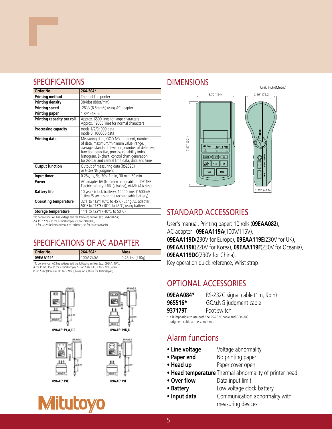#### SPECIFICATIONS DIMENSIONS

| Order No.                    | 264-504*                                                                                                                                                                                                                                                                                    |
|------------------------------|---------------------------------------------------------------------------------------------------------------------------------------------------------------------------------------------------------------------------------------------------------------------------------------------|
| <b>Printing method</b>       | Thermal line printer                                                                                                                                                                                                                                                                        |
| <b>Printing density</b>      | 384dot (8dot/mm)                                                                                                                                                                                                                                                                            |
| <b>Printing speed</b>        | .26"/s (6.5mm/s) using AC adapter                                                                                                                                                                                                                                                           |
| <b>Printing paper</b>        | $1.89$ " (48mm)                                                                                                                                                                                                                                                                             |
| Printing capacity per roll   | Approx. 6500 lines for large characters<br>Approx. 12000 lines for normal characters                                                                                                                                                                                                        |
| Processing capacity          | mode 1/2/3: 999 data<br>mode 0; 100000 data                                                                                                                                                                                                                                                 |
| Printing data                | Measuring data, GO/±NG judgment, number<br>of data, maximum/minimum value, range,<br>average, standard deviation, number of defective,<br>function defective, process capability index,<br>histogram, D-chart, control chart generation<br>for Xd-bar and central limit data, data and time |
| <b>Output function</b>       | Output of measuring data (RS232C)<br>or GO/±NG judgment                                                                                                                                                                                                                                     |
| Input timer                  | 0.25s, 1s, 5s, 30s, 1 min, 30 min, 60 min                                                                                                                                                                                                                                                   |
| Power                        | AC adapter 6V (No interchangeable to DP-1HS<br>Electric battery: LR6 (alkaline), ni-Mh (AA size)                                                                                                                                                                                            |
| <b>Battery life</b>          | 10 years (clock battery), 10000 lines (1600mA<br>1 time/5 sec. using the rechargeable battery)                                                                                                                                                                                              |
| <b>Operating temperature</b> | 32°F to 113°F (0°C to 45°C) using AC adapter,<br>50°F to 113°F (10°C to 45°C) using battery                                                                                                                                                                                                 |
| Storage temperature          | 14°F to 122°F (-10°C to 50°C)                                                                                                                                                                                                                                                               |

\*To denote your AC line voltage add the following suffixes (e.g. 264-504-5A).

-5A for 120V, -5D for 220V (Europe), -5E for 240v (UK), -1K for 220V for korea without AC adapter, -5F for 240V (Oceania)

#### SPECIFICATIONS OF AC ADAPTER

| Order No.                                                                    | 264-504*  | <b>Mass</b>                  |
|------------------------------------------------------------------------------|-----------|------------------------------|
| 09EAA119*                                                                    | 100V-240V | $(0.46 \text{ lbs.} (210q))$ |
| *To denote your AC line voltage add the following suffixes (e.g. 09EAA119A). |           |                              |

\*To denote your AC line voltage add the following suffixes (e.g. 09EAA119A). A for 110V/115V, D for 230V (Europe), 5E for 230v (UK), K for 220V (Japan) K for 230V (Oceania), DC for 220V (China), no suffix is for 100V (Japan)





**09AAE119,A,DC 09AAE119K,D**









### Unit: Inch/(Metric)



#### STANDARD ACCESSORIES

User's manual, Printing paper: 10 rolls (**09EAA082**), AC adapter : **09EAA119A**(100V/115V), **09EAA119D**(230V for Europe), **09EAA119E**(230V for UK), **09EAA119K**(220V for Korea), **09EAA119F**(230V for Oceania), **09EAA119DC**(230V for China), Key operation quick reference, Wrist strap

#### OPTIONAL ACCESSORIES

| 09EAA084* | RS-232C signal cable (1m, 9pin) |
|-----------|---------------------------------|
| 965516*   | GO/±NG judgment cable           |
| 937179T   | Foot switch                     |

\* It is impossible to use both the RS-232C cable and GO/±NG judgment cable at the same time.

#### Alarm functions

- **Line voltage** Voltage abnormality
- **Paper end** No printing paper
- **Head up** Paper cover open
- **Head temperature** Thermal abnormality of printer head
- Over flow Data input limit
- **Battery** Low voltage clock battery
- 
- **Input data** Communication abnormality with measuring devices